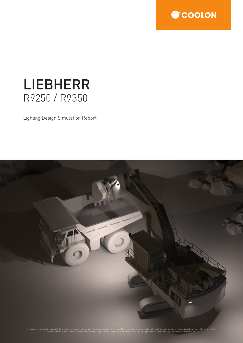

# LIEBHERR R9250 / R9350

Lighting Design Simulation Report



This report is compiled to provide illustrations of product use for a particular application. It is created for evaluation purposes only. Individual machines may vary in configuration, hence affecting results. Please contact us to request a specific design for your application. Coolon recommends that all system upgrades are carried out by a qualified auto electrician.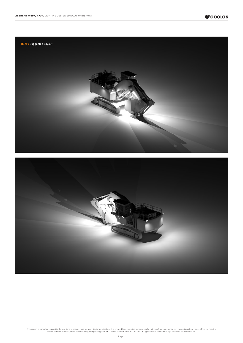



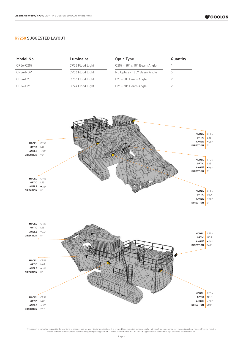#### R9250 SUGGESTED LAYOUT

| Model No. | Luminaire        | Optic Type                                   | Quantity |
|-----------|------------------|----------------------------------------------|----------|
| CP56-0209 | CP56 Flood Light | $0209 - 40^\circ \times 18^\circ$ Beam Angle |          |
| CP56-NOP  | CP56 Flood Light | No Optics - 120° Beam Angle                  | b.       |
| CP56-L25  | CP56 Flood Light | $L25 - 50^\circ$ Beam Angle                  |          |
| CP24-L25  | CP24 Flood Light | $L25 - 50^\circ$ Beam Angle                  |          |

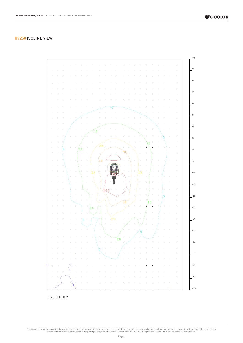

#### R9250 ISOLINE VIEW



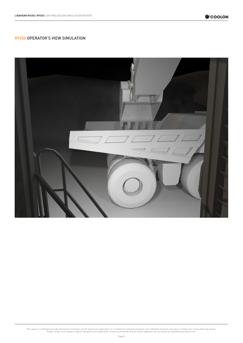

## R9250 OPERATOR'S VIEW SIMULATION

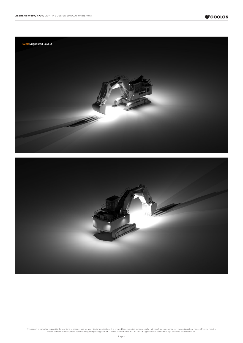



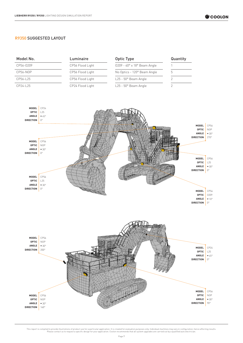#### R9350 SUGGESTED LAYOUT

| Model No. | Luminaire        | Optic Type                                   | Quantity |
|-----------|------------------|----------------------------------------------|----------|
| CP56-0209 | CP56 Flood Light | $0209 - 40^\circ \times 18^\circ$ Beam Angle |          |
| CP56-NOP  | CP56 Flood Light | No Optics - 120° Beam Angle                  |          |
| CP56-L25  | CP56 Flood Light | $L25 - 50^{\circ}$ Beam Angle                |          |
| CP24-L25  | CP24 Flood Light | $L25 - 50^\circ$ Beam Angle                  |          |

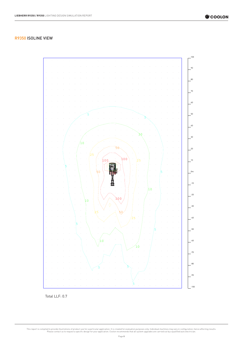

## R9350 ISOLINE VIEW